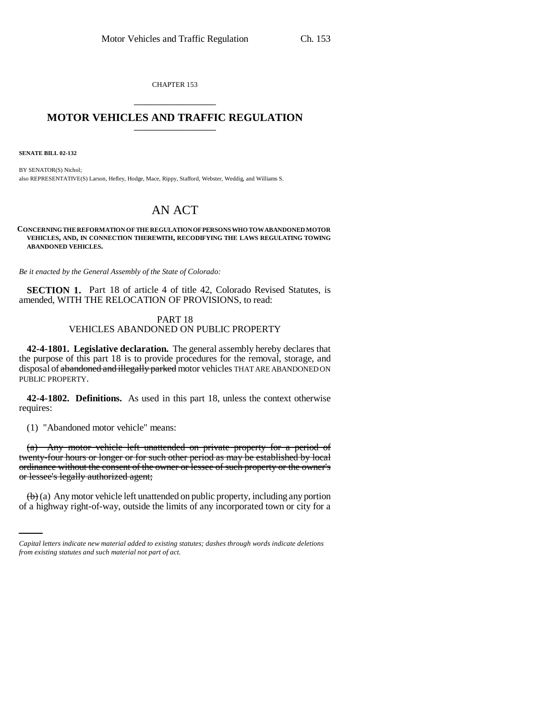CHAPTER 153 \_\_\_\_\_\_\_\_\_\_\_\_\_\_\_

# **MOTOR VEHICLES AND TRAFFIC REGULATION** \_\_\_\_\_\_\_\_\_\_\_\_\_\_\_

**SENATE BILL 02-132**

BY SENATOR(S) Nichol; also REPRESENTATIVE(S) Larson, Hefley, Hodge, Mace, Rippy, Stafford, Webster, Weddig, and Williams S.

# AN ACT

**CONCERNING THE REFORMATION OF THE REGULATION OF PERSONS WHO TOW ABANDONED MOTOR VEHICLES, AND, IN CONNECTION THEREWITH, RECODIFYING THE LAWS REGULATING TOWING ABANDONED VEHICLES.**

*Be it enacted by the General Assembly of the State of Colorado:*

**SECTION 1.** Part 18 of article 4 of title 42, Colorado Revised Statutes, is amended, WITH THE RELOCATION OF PROVISIONS, to read:

## PART 18 VEHICLES ABANDONED ON PUBLIC PROPERTY

**42-4-1801. Legislative declaration.** The general assembly hereby declares that the purpose of this part 18 is to provide procedures for the removal, storage, and disposal of abandoned and illegally parked motor vehicles THAT ARE ABANDONED ON PUBLIC PROPERTY.

**42-4-1802. Definitions.** As used in this part 18, unless the context otherwise requires:

(1) "Abandoned motor vehicle" means:

(a) Any motor vehicle left unattended on private property for a period of twenty-four hours or longer or for such other period as may be established by local ordinance without the consent of the owner or lessee of such property or the owner's or lessee's legally authorized agent;

 $(b)$  (a) Any motor vehicle left unattended on public property, including any portion of a highway right-of-way, outside the limits of any incorporated town or city for a

*Capital letters indicate new material added to existing statutes; dashes through words indicate deletions from existing statutes and such material not part of act.*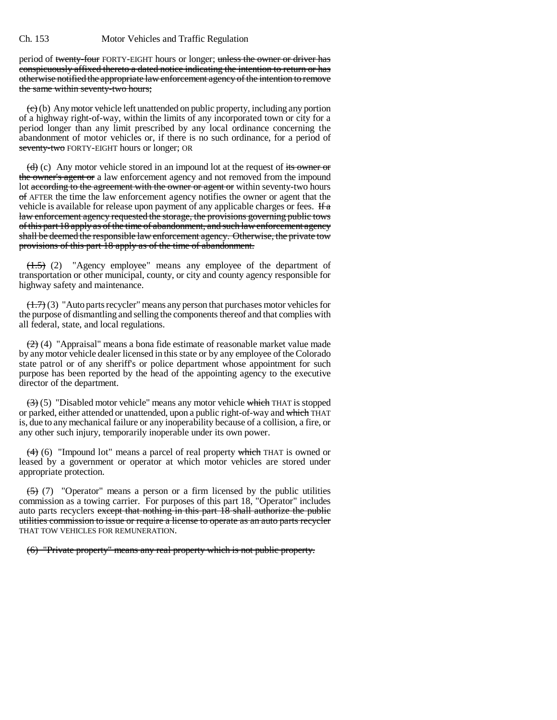period of twenty-four FORTY-EIGHT hours or longer; unless the owner or driver has conspicuously affixed thereto a dated notice indicating the intention to return or has otherwise notified the appropriate law enforcement agency of the intention to remove the same within seventy-two hours;

 $(e)$  (b) Any motor vehicle left unattended on public property, including any portion of a highway right-of-way, within the limits of any incorporated town or city for a period longer than any limit prescribed by any local ordinance concerning the abandonment of motor vehicles or, if there is no such ordinance, for a period of seventy-two FORTY-EIGHT hours or longer; OR

 $\left(\frac{d}{d}\right)$  (c) Any motor vehicle stored in an impound lot at the request of its owner or the owner's agent or a law enforcement agency and not removed from the impound lot according to the agreement with the owner or agent or within seventy-two hours  $\sigma$  affer the time the law enforcement agency notifies the owner or agent that the vehicle is available for release upon payment of any applicable charges or fees. If  $\alpha$ law enforcement agency requested the storage, the provisions governing public tows of this part 18 apply as of the time of abandonment, and such law enforcement agency shall be deemed the responsible law enforcement agency. Otherwise, the private tow provisions of this part 18 apply as of the time of abandonment.

(1.5) (2) "Agency employee" means any employee of the department of transportation or other municipal, county, or city and county agency responsible for highway safety and maintenance.

(1.7) (3) "Auto parts recycler" means any person that purchases motor vehicles for the purpose of dismantling and selling the components thereof and that complies with all federal, state, and local regulations.

 $(2)$  (4) "Appraisal" means a bona fide estimate of reasonable market value made by any motor vehicle dealer licensed in this state or by any employee of the Colorado state patrol or of any sheriff's or police department whose appointment for such purpose has been reported by the head of the appointing agency to the executive director of the department.

 $\left(\frac{1}{2}\right)$  (5) "Disabled motor vehicle" means any motor vehicle which THAT is stopped or parked, either attended or unattended, upon a public right-of-way and which THAT is, due to any mechanical failure or any inoperability because of a collision, a fire, or any other such injury, temporarily inoperable under its own power.

 $(4)$  (6) "Impound lot" means a parcel of real property which THAT is owned or leased by a government or operator at which motor vehicles are stored under appropriate protection.

 $(5)$  (7) "Operator" means a person or a firm licensed by the public utilities commission as a towing carrier. For purposes of this part 18, "Operator" includes auto parts recyclers except that nothing in this part 18 shall authorize the public utilities commission to issue or require a license to operate as an auto parts recycler THAT TOW VEHICLES FOR REMUNERATION.

(6) "Private property" means any real property which is not public property.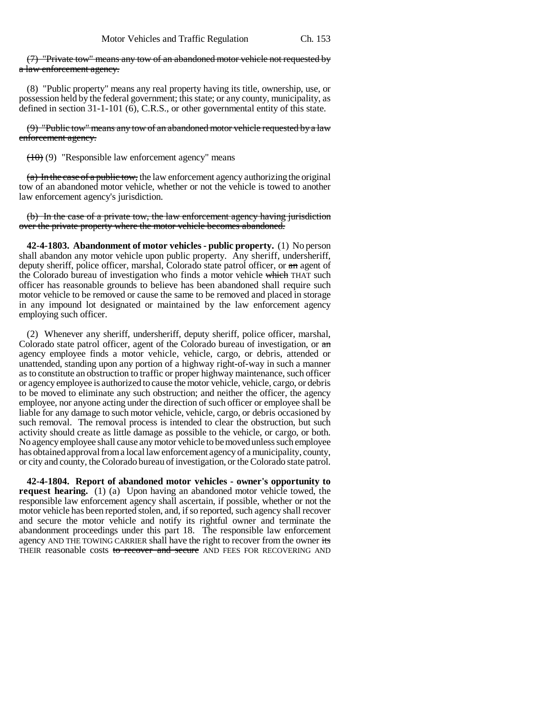(7) "Private tow" means any tow of an abandoned motor vehicle not requested by a law enforcement agency.

(8) "Public property" means any real property having its title, ownership, use, or possession held by the federal government; this state; or any county, municipality, as defined in section 31-1-101 (6), C.R.S., or other governmental entity of this state.

(9) "Public tow" means any tow of an abandoned motor vehicle requested by a law enforcement agency.

 $(10)(9)$  "Responsible law enforcement agency" means

 $(a)$  In the case of a public tow, the law enforcement agency authorizing the original tow of an abandoned motor vehicle, whether or not the vehicle is towed to another law enforcement agency's jurisdiction.

(b) In the case of a private tow, the law enforcement agency having jurisdiction over the private property where the motor vehicle becomes abandoned.

**42-4-1803. Abandonment of motor vehicles - public property.** (1) No person shall abandon any motor vehicle upon public property. Any sheriff, undersheriff, deputy sheriff, police officer, marshal, Colorado state patrol officer, or an agent of the Colorado bureau of investigation who finds a motor vehicle which THAT such officer has reasonable grounds to believe has been abandoned shall require such motor vehicle to be removed or cause the same to be removed and placed in storage in any impound lot designated or maintained by the law enforcement agency employing such officer.

(2) Whenever any sheriff, undersheriff, deputy sheriff, police officer, marshal, Colorado state patrol officer, agent of the Colorado bureau of investigation, or an agency employee finds a motor vehicle, vehicle, cargo, or debris, attended or unattended, standing upon any portion of a highway right-of-way in such a manner as to constitute an obstruction to traffic or proper highway maintenance, such officer or agency employee is authorized to cause the motor vehicle, vehicle, cargo, or debris to be moved to eliminate any such obstruction; and neither the officer, the agency employee, nor anyone acting under the direction of such officer or employee shall be liable for any damage to such motor vehicle, vehicle, cargo, or debris occasioned by such removal. The removal process is intended to clear the obstruction, but such activity should create as little damage as possible to the vehicle, or cargo, or both. No agency employee shall cause any motor vehicle to be moved unless such employee has obtained approval from a local law enforcement agency of a municipality, county, or city and county, the Colorado bureau of investigation, or the Colorado state patrol.

**42-4-1804. Report of abandoned motor vehicles - owner's opportunity to request hearing.** (1) (a) Upon having an abandoned motor vehicle towed, the responsible law enforcement agency shall ascertain, if possible, whether or not the motor vehicle has been reported stolen, and, if so reported, such agency shall recover and secure the motor vehicle and notify its rightful owner and terminate the abandonment proceedings under this part 18. The responsible law enforcement agency AND THE TOWING CARRIER shall have the right to recover from the owner its THEIR reasonable costs to recover and secure AND FEES FOR RECOVERING AND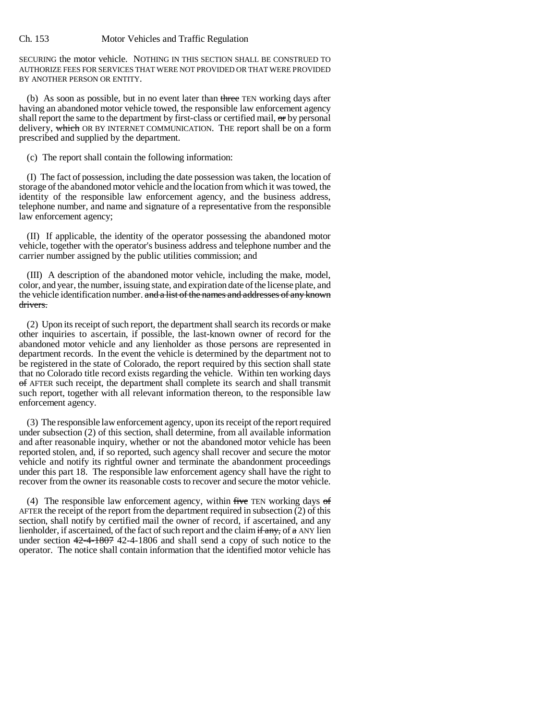#### Ch. 153 Motor Vehicles and Traffic Regulation

SECURING the motor vehicle. NOTHING IN THIS SECTION SHALL BE CONSTRUED TO AUTHORIZE FEES FOR SERVICES THAT WERE NOT PROVIDED OR THAT WERE PROVIDED BY ANOTHER PERSON OR ENTITY.

(b) As soon as possible, but in no event later than three TEN working days after having an abandoned motor vehicle towed, the responsible law enforcement agency shall report the same to the department by first-class or certified mail,  $\sigma$ r by personal delivery, which OR BY INTERNET COMMUNICATION. THE report shall be on a form prescribed and supplied by the department.

(c) The report shall contain the following information:

(I) The fact of possession, including the date possession was taken, the location of storage of the abandoned motor vehicle and the location from which it was towed, the identity of the responsible law enforcement agency, and the business address, telephone number, and name and signature of a representative from the responsible law enforcement agency;

(II) If applicable, the identity of the operator possessing the abandoned motor vehicle, together with the operator's business address and telephone number and the carrier number assigned by the public utilities commission; and

(III) A description of the abandoned motor vehicle, including the make, model, color, and year, the number, issuing state, and expiration date of the license plate, and the vehicle identification number. and a list of the names and addresses of any known drivers.

(2) Upon its receipt of such report, the department shall search its records or make other inquiries to ascertain, if possible, the last-known owner of record for the abandoned motor vehicle and any lienholder as those persons are represented in department records. In the event the vehicle is determined by the department not to be registered in the state of Colorado, the report required by this section shall state that no Colorado title record exists regarding the vehicle. Within ten working days of AFTER such receipt, the department shall complete its search and shall transmit such report, together with all relevant information thereon, to the responsible law enforcement agency.

(3) The responsible law enforcement agency, upon its receipt of the report required under subsection (2) of this section, shall determine, from all available information and after reasonable inquiry, whether or not the abandoned motor vehicle has been reported stolen, and, if so reported, such agency shall recover and secure the motor vehicle and notify its rightful owner and terminate the abandonment proceedings under this part 18. The responsible law enforcement agency shall have the right to recover from the owner its reasonable costs to recover and secure the motor vehicle.

(4) The responsible law enforcement agency, within  $f$ ive TEN working days  $\sigma f$ AFTER the receipt of the report from the department required in subsection  $(2)$  of this section, shall notify by certified mail the owner of record, if ascertained, and any lienholder, if ascertained, of the fact of such report and the claim  $\frac{f}{f}$  any, of a ANY lien under section 42-4-1807 42-4-1806 and shall send a copy of such notice to the operator. The notice shall contain information that the identified motor vehicle has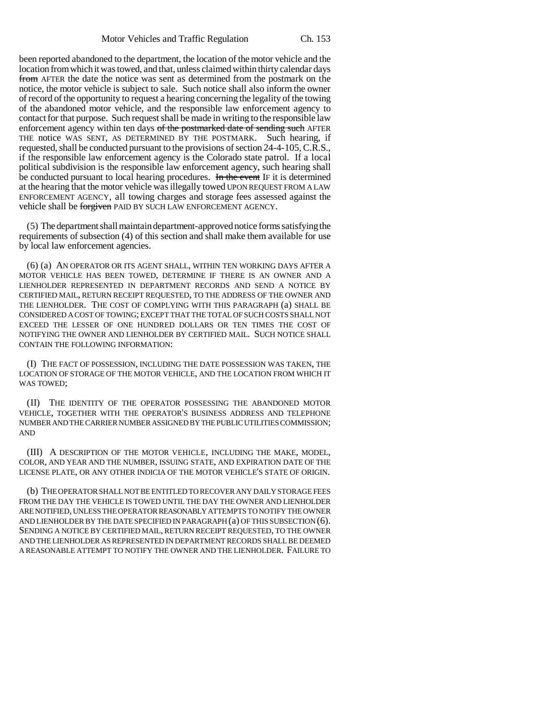been reported abandoned to the department, the location of the motor vehicle and the location from which it was towed, and that, unless claimed within thirty calendar days from AFTER the date the notice was sent as determined from the postmark on the notice, the motor vehicle is subject to sale. Such notice shall also inform the owner of record of the opportunity to request a hearing concerning the legality of the towing of the abandoned motor vehicle, and the responsible law enforcement agency to contact for that purpose. Such request shall be made in writing to the responsible law enforcement agency within ten days of the postmarked date of sending such AFTER THE notice WAS SENT, AS DETERMINED BY THE POSTMARK. Such hearing, if requested, shall be conducted pursuant to the provisions of section 24-4-105, C.R.S., if the responsible law enforcement agency is the Colorado state patrol. If a local political subdivision is the responsible law enforcement agency, such hearing shall be conducted pursuant to local hearing procedures. In the event IF it is determined at the hearing that the motor vehicle was illegally towed UPON REQUEST FROM A LAW ENFORCEMENT AGENCY, all towing charges and storage fees assessed against the vehicle shall be forgiven PAID BY SUCH LAW ENFORCEMENT AGENCY.

(5) The department shall maintain department-approved notice forms satisfying the requirements of subsection (4) of this section and shall make them available for use by local law enforcement agencies.

(6) (a) AN OPERATOR OR ITS AGENT SHALL, WITHIN TEN WORKING DAYS AFTER A MOTOR VEHICLE HAS BEEN TOWED, DETERMINE IF THERE IS AN OWNER AND A LIENHOLDER REPRESENTED IN DEPARTMENT RECORDS AND SEND A NOTICE BY CERTIFIED MAIL, RETURN RECEIPT REQUESTED, TO THE ADDRESS OF THE OWNER AND THE LIENHOLDER. THE COST OF COMPLYING WITH THIS PARAGRAPH (a) SHALL BE CONSIDERED A COST OF TOWING; EXCEPT THAT THE TOTAL OF SUCH COSTS SHALL NOT EXCEED THE LESSER OF ONE HUNDRED DOLLARS OR TEN TIMES THE COST OF NOTIFYING THE OWNER AND LIENHOLDER BY CERTIFIED MAIL. SUCH NOTICE SHALL CONTAIN THE FOLLOWING INFORMATION:

(I) THE FACT OF POSSESSION, INCLUDING THE DATE POSSESSION WAS TAKEN, THE LOCATION OF STORAGE OF THE MOTOR VEHICLE, AND THE LOCATION FROM WHICH IT WAS TOWED;

(II) THE IDENTITY OF THE OPERATOR POSSESSING THE ABANDONED MOTOR VEHICLE, TOGETHER WITH THE OPERATOR'S BUSINESS ADDRESS AND TELEPHONE NUMBER AND THE CARRIER NUMBER ASSIGNED BY THE PUBLIC UTILITIES COMMISSION; AND

(III) A DESCRIPTION OF THE MOTOR VEHICLE, INCLUDING THE MAKE, MODEL, COLOR, AND YEAR AND THE NUMBER, ISSUING STATE, AND EXPIRATION DATE OF THE LICENSE PLATE, OR ANY OTHER INDICIA OF THE MOTOR VEHICLE'S STATE OF ORIGIN.

(b) THE OPERATOR SHALL NOT BE ENTITLED TO RECOVER ANY DAILY STORAGE FEES FROM THE DAY THE VEHICLE IS TOWED UNTIL THE DAY THE OWNER AND LIENHOLDER ARE NOTIFIED, UNLESS THE OPERATOR REASONABLY ATTEMPTS TO NOTIFY THE OWNER AND LIENHOLDER BY THE DATE SPECIFIED IN PARAGRAPH (a) OF THIS SUBSECTION (6). SENDING A NOTICE BY CERTIFIED MAIL, RETURN RECEIPT REQUESTED, TO THE OWNER AND THE LIENHOLDER AS REPRESENTED IN DEPARTMENT RECORDS SHALL BE DEEMED A REASONABLE ATTEMPT TO NOTIFY THE OWNER AND THE LIENHOLDER. FAILURE TO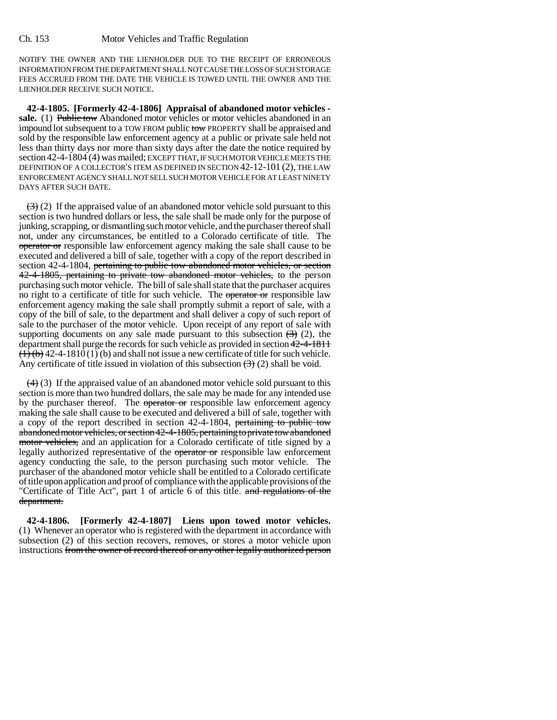NOTIFY THE OWNER AND THE LIENHOLDER DUE TO THE RECEIPT OF ERRONEOUS INFORMATION FROM THE DEPARTMENT SHALL NOT CAUSE THE LOSS OF SUCH STORAGE FEES ACCRUED FROM THE DATE THE VEHICLE IS TOWED UNTIL THE OWNER AND THE LIENHOLDER RECEIVE SUCH NOTICE.

**42-4-1805. [Formerly 42-4-1806] Appraisal of abandoned motor vehicles**  sale. (1) Public tow Abandoned motor vehicles or motor vehicles abandoned in an impound lot subsequent to a TOW FROM public tow PROPERTY shall be appraised and sold by the responsible law enforcement agency at a public or private sale held not less than thirty days nor more than sixty days after the date the notice required by section 42-4-1804 (4) was mailed; EXCEPT THAT, IF SUCH MOTOR VEHICLE MEETS THE DEFINITION OF A COLLECTOR'S ITEM AS DEFINED IN SECTION 42-12-101 (2), THE LAW ENFORCEMENT AGENCY SHALL NOT SELL SUCH MOTOR VEHICLE FOR AT LEAST NINETY DAYS AFTER SUCH DATE.

 $\left(\frac{1}{2}\right)$  (2) If the appraised value of an abandoned motor vehicle sold pursuant to this section is two hundred dollars or less, the sale shall be made only for the purpose of junking, scrapping, or dismantling such motor vehicle, and the purchaser thereof shall not, under any circumstances, be entitled to a Colorado certificate of title. The operator or responsible law enforcement agency making the sale shall cause to be executed and delivered a bill of sale, together with a copy of the report described in section 42-4-1804, pertaining to public tow abandoned motor vehicles, or section 42-4-1805, pertaining to private tow abandoned motor vehicles, to the person purchasing such motor vehicle. The bill of sale shall state that the purchaser acquires no right to a certificate of title for such vehicle. The operator or responsible law enforcement agency making the sale shall promptly submit a report of sale, with a copy of the bill of sale, to the department and shall deliver a copy of such report of sale to the purchaser of the motor vehicle. Upon receipt of any report of sale with supporting documents on any sale made pursuant to this subsection  $(3)$  (2), the department shall purge the records for such vehicle as provided in section 42-4-1811  $(1)(b)$  42-4-1810(1)(b) and shall not issue a new certificate of title for such vehicle. Any certificate of title issued in violation of this subsection  $(3)(2)$  shall be void.

 $(4)$  (3) If the appraised value of an abandoned motor vehicle sold pursuant to this section is more than two hundred dollars, the sale may be made for any intended use by the purchaser thereof. The operator or responsible law enforcement agency making the sale shall cause to be executed and delivered a bill of sale, together with a copy of the report described in section 42-4-1804, pertaining to public tow abandoned motor vehicles, or section 42-4-1805, pertaining to private tow abandoned motor vehicles, and an application for a Colorado certificate of title signed by a legally authorized representative of the operator or responsible law enforcement agency conducting the sale, to the person purchasing such motor vehicle. The purchaser of the abandoned motor vehicle shall be entitled to a Colorado certificate of title upon application and proof of compliance with the applicable provisions of the "Certificate of Title Act", part 1 of article 6 of this title. and regulations of the department.

**42-4-1806. [Formerly 42-4-1807] Liens upon towed motor vehicles.** (1) Whenever an operator who is registered with the department in accordance with subsection (2) of this section recovers, removes, or stores a motor vehicle upon instructions from the owner of record thereof or any other legally authorized person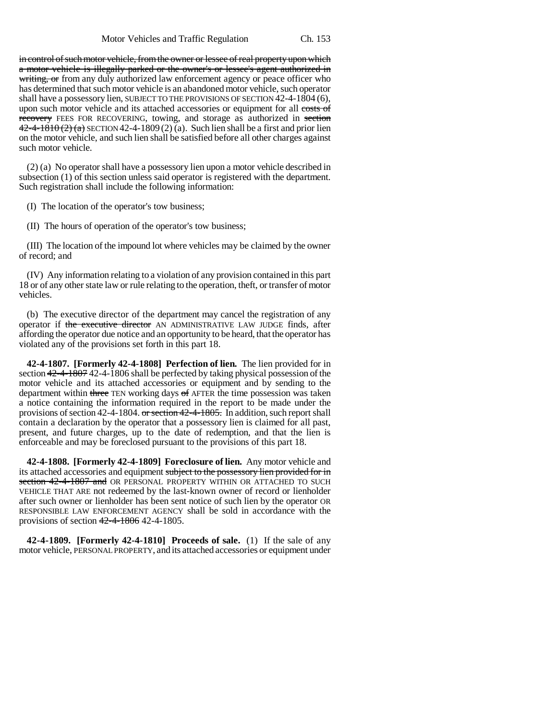in control of such motor vehicle, from the owner or lessee of real property upon which a motor vehicle is illegally parked or the owner's or lessee's agent authorized in writing, or from any duly authorized law enforcement agency or peace officer who has determined that such motor vehicle is an abandoned motor vehicle, such operator shall have a possessory lien, SUBJECT TO THE PROVISIONS OF SECTION 42-4-1804 (6), upon such motor vehicle and its attached accessories or equipment for all costs of recovery FEES FOR RECOVERING, towing, and storage as authorized in section  $42-4-1810(2)$  (a) SECTION 42-4-1809 (2) (a). Such lien shall be a first and prior lien on the motor vehicle, and such lien shall be satisfied before all other charges against such motor vehicle.

(2) (a) No operator shall have a possessory lien upon a motor vehicle described in subsection (1) of this section unless said operator is registered with the department. Such registration shall include the following information:

(I) The location of the operator's tow business;

(II) The hours of operation of the operator's tow business;

(III) The location of the impound lot where vehicles may be claimed by the owner of record; and

(IV) Any information relating to a violation of any provision contained in this part 18 or of any other state law or rule relating to the operation, theft, or transfer of motor vehicles.

(b) The executive director of the department may cancel the registration of any operator if the executive director AN ADMINISTRATIVE LAW JUDGE finds, after affording the operator due notice and an opportunity to be heard, that the operator has violated any of the provisions set forth in this part 18.

**42-4-1807. [Formerly 42-4-1808] Perfection of lien.** The lien provided for in section 42-4-1807 42-4-1806 shall be perfected by taking physical possession of the motor vehicle and its attached accessories or equipment and by sending to the department within three TEN working days of AFTER the time possession was taken a notice containing the information required in the report to be made under the provisions of section 42-4-1804. or section 42-4-1805. In addition, such report shall contain a declaration by the operator that a possessory lien is claimed for all past, present, and future charges, up to the date of redemption, and that the lien is enforceable and may be foreclosed pursuant to the provisions of this part 18.

**42-4-1808. [Formerly 42-4-1809] Foreclosure of lien.** Any motor vehicle and its attached accessories and equipment subject to the possessory lien provided for in section 42-4-1807 and OR PERSONAL PROPERTY WITHIN OR ATTACHED TO SUCH VEHICLE THAT ARE not redeemed by the last-known owner of record or lienholder after such owner or lienholder has been sent notice of such lien by the operator OR RESPONSIBLE LAW ENFORCEMENT AGENCY shall be sold in accordance with the provisions of section 42-4-1806 42-4-1805.

**42-4-1809. [Formerly 42-4-1810] Proceeds of sale.** (1) If the sale of any motor vehicle, PERSONAL PROPERTY, and its attached accessories or equipment under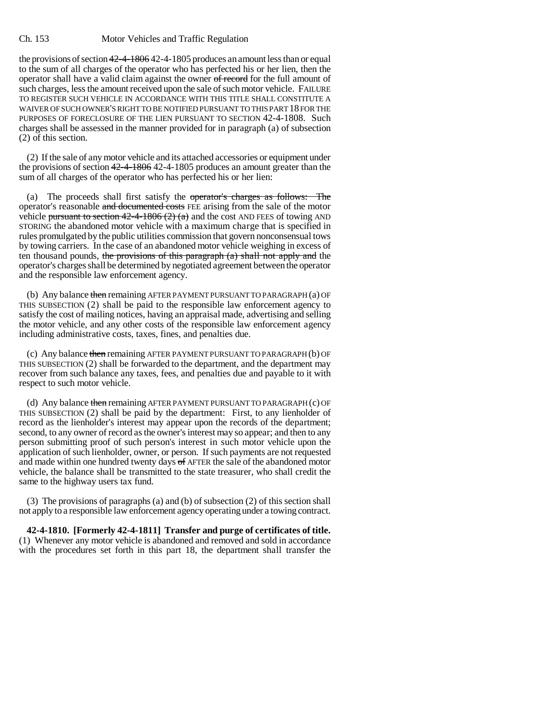#### Ch. 153 Motor Vehicles and Traffic Regulation

the provisions of section 42-4-1806 42-4-1805 produces an amount less than or equal to the sum of all charges of the operator who has perfected his or her lien, then the operator shall have a valid claim against the owner of record for the full amount of such charges, less the amount received upon the sale of such motor vehicle. FAILURE TO REGISTER SUCH VEHICLE IN ACCORDANCE WITH THIS TITLE SHALL CONSTITUTE A WAIVER OF SUCH OWNER'S RIGHT TO BE NOTIFIED PURSUANT TO THIS PART 18 FOR THE PURPOSES OF FORECLOSURE OF THE LIEN PURSUANT TO SECTION 42-4-1808. Such charges shall be assessed in the manner provided for in paragraph (a) of subsection (2) of this section.

(2) If the sale of any motor vehicle and its attached accessories or equipment under the provisions of section  $42-4-1806$  42-4-1805 produces an amount greater than the sum of all charges of the operator who has perfected his or her lien:

(a) The proceeds shall first satisfy the operator's charges as follows: The operator's reasonable and documented costs FEE arising from the sale of the motor vehicle pursuant to section  $42-4-1806(2)(a)$  and the cost AND FEES of towing AND STORING the abandoned motor vehicle with a maximum charge that is specified in rules promulgated by the public utilities commission that govern nonconsensual tows by towing carriers. In the case of an abandoned motor vehicle weighing in excess of ten thousand pounds, the provisions of this paragraph  $(a)$  shall not apply and the operator's charges shall be determined by negotiated agreement between the operator and the responsible law enforcement agency.

(b) Any balance then remaining AFTER PAYMENT PURSUANT TO PARAGRAPH  $(a)$  OF THIS SUBSECTION (2) shall be paid to the responsible law enforcement agency to satisfy the cost of mailing notices, having an appraisal made, advertising and selling the motor vehicle, and any other costs of the responsible law enforcement agency including administrative costs, taxes, fines, and penalties due.

(c) Any balance then remaining AFTER PAYMENT PURSUANT TO PARAGRAPH (b) OF THIS SUBSECTION (2) shall be forwarded to the department, and the department may recover from such balance any taxes, fees, and penalties due and payable to it with respect to such motor vehicle.

(d) Any balance then remaining AFTER PAYMENT PURSUANT TO PARAGRAPH (c) OF THIS SUBSECTION (2) shall be paid by the department: First, to any lienholder of record as the lienholder's interest may appear upon the records of the department; second, to any owner of record as the owner's interest may so appear; and then to any person submitting proof of such person's interest in such motor vehicle upon the application of such lienholder, owner, or person. If such payments are not requested and made within one hundred twenty days of AFTER the sale of the abandoned motor vehicle, the balance shall be transmitted to the state treasurer, who shall credit the same to the highway users tax fund.

(3) The provisions of paragraphs (a) and (b) of subsection (2) of this section shall not apply to a responsible law enforcement agency operating under a towing contract.

**42-4-1810. [Formerly 42-4-1811] Transfer and purge of certificates of title.** (1) Whenever any motor vehicle is abandoned and removed and sold in accordance with the procedures set forth in this part 18, the department shall transfer the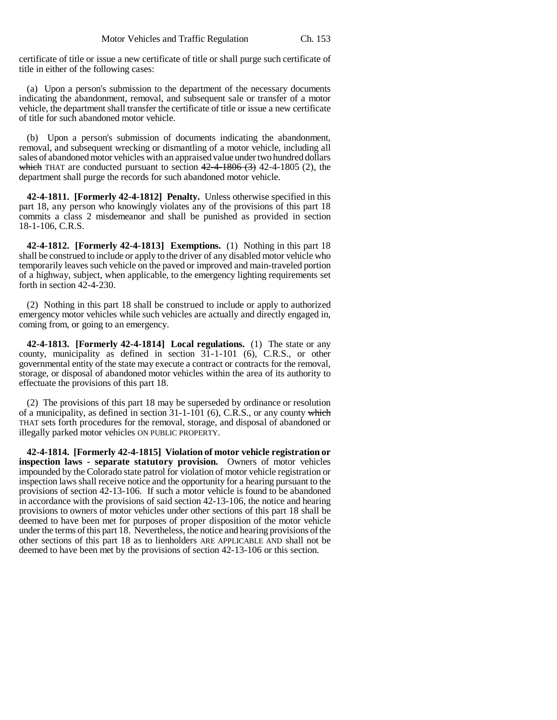certificate of title or issue a new certificate of title or shall purge such certificate of title in either of the following cases:

(a) Upon a person's submission to the department of the necessary documents indicating the abandonment, removal, and subsequent sale or transfer of a motor vehicle, the department shall transfer the certificate of title or issue a new certificate of title for such abandoned motor vehicle.

(b) Upon a person's submission of documents indicating the abandonment, removal, and subsequent wrecking or dismantling of a motor vehicle, including all sales of abandoned motor vehicles with an appraised value under two hundred dollars which THAT are conducted pursuant to section  $42-4-1806$  (3) 42-4-1805 (2), the department shall purge the records for such abandoned motor vehicle.

**42-4-1811. [Formerly 42-4-1812] Penalty.** Unless otherwise specified in this part 18, any person who knowingly violates any of the provisions of this part 18 commits a class 2 misdemeanor and shall be punished as provided in section 18-1-106, C.R.S.

**42-4-1812. [Formerly 42-4-1813] Exemptions.** (1) Nothing in this part 18 shall be construed to include or apply to the driver of any disabled motor vehicle who temporarily leaves such vehicle on the paved or improved and main-traveled portion of a highway, subject, when applicable, to the emergency lighting requirements set forth in section 42-4-230.

(2) Nothing in this part 18 shall be construed to include or apply to authorized emergency motor vehicles while such vehicles are actually and directly engaged in, coming from, or going to an emergency.

**42-4-1813. [Formerly 42-4-1814] Local regulations.** (1) The state or any county, municipality as defined in section 31-1-101 (6), C.R.S., or other governmental entity of the state may execute a contract or contracts for the removal, storage, or disposal of abandoned motor vehicles within the area of its authority to effectuate the provisions of this part 18.

(2) The provisions of this part 18 may be superseded by ordinance or resolution of a municipality, as defined in section  $31-1-101$  (6), C.R.S., or any county which THAT sets forth procedures for the removal, storage, and disposal of abandoned or illegally parked motor vehicles ON PUBLIC PROPERTY.

**42-4-1814. [Formerly 42-4-1815] Violation of motor vehicle registration or inspection laws - separate statutory provision.** Owners of motor vehicles impounded by the Colorado state patrol for violation of motor vehicle registration or inspection laws shall receive notice and the opportunity for a hearing pursuant to the provisions of section 42-13-106. If such a motor vehicle is found to be abandoned in accordance with the provisions of said section 42-13-106, the notice and hearing provisions to owners of motor vehicles under other sections of this part 18 shall be deemed to have been met for purposes of proper disposition of the motor vehicle under the terms of this part 18. Nevertheless, the notice and hearing provisions of the other sections of this part 18 as to lienholders ARE APPLICABLE AND shall not be deemed to have been met by the provisions of section 42-13-106 or this section.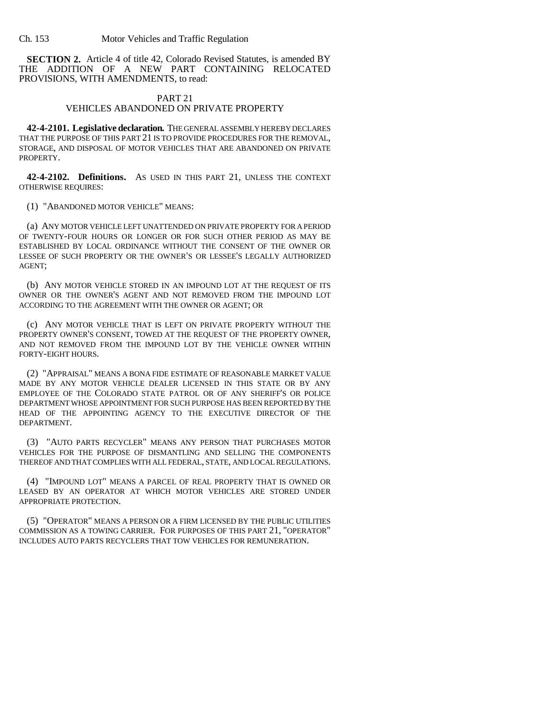**SECTION 2.** Article 4 of title 42, Colorado Revised Statutes, is amended BY THE ADDITION OF A NEW PART CONTAINING RELOCATED PROVISIONS, WITH AMENDMENTS, to read:

### PART 21

## VEHICLES ABANDONED ON PRIVATE PROPERTY

**42-4-2101. Legislative declaration.** THE GENERAL ASSEMBLY HEREBY DECLARES THAT THE PURPOSE OF THIS PART 21 IS TO PROVIDE PROCEDURES FOR THE REMOVAL, STORAGE, AND DISPOSAL OF MOTOR VEHICLES THAT ARE ABANDONED ON PRIVATE PROPERTY.

**42-4-2102. Definitions.** AS USED IN THIS PART 21, UNLESS THE CONTEXT OTHERWISE REQUIRES:

(1) "ABANDONED MOTOR VEHICLE" MEANS:

(a) ANY MOTOR VEHICLE LEFT UNATTENDED ON PRIVATE PROPERTY FOR A PERIOD OF TWENTY-FOUR HOURS OR LONGER OR FOR SUCH OTHER PERIOD AS MAY BE ESTABLISHED BY LOCAL ORDINANCE WITHOUT THE CONSENT OF THE OWNER OR LESSEE OF SUCH PROPERTY OR THE OWNER'S OR LESSEE'S LEGALLY AUTHORIZED AGENT;

(b) ANY MOTOR VEHICLE STORED IN AN IMPOUND LOT AT THE REQUEST OF ITS OWNER OR THE OWNER'S AGENT AND NOT REMOVED FROM THE IMPOUND LOT ACCORDING TO THE AGREEMENT WITH THE OWNER OR AGENT; OR

(c) ANY MOTOR VEHICLE THAT IS LEFT ON PRIVATE PROPERTY WITHOUT THE PROPERTY OWNER'S CONSENT, TOWED AT THE REQUEST OF THE PROPERTY OWNER, AND NOT REMOVED FROM THE IMPOUND LOT BY THE VEHICLE OWNER WITHIN FORTY-EIGHT HOURS.

(2) "APPRAISAL" MEANS A BONA FIDE ESTIMATE OF REASONABLE MARKET VALUE MADE BY ANY MOTOR VEHICLE DEALER LICENSED IN THIS STATE OR BY ANY EMPLOYEE OF THE COLORADO STATE PATROL OR OF ANY SHERIFF'S OR POLICE DEPARTMENT WHOSE APPOINTMENT FOR SUCH PURPOSE HAS BEEN REPORTED BY THE HEAD OF THE APPOINTING AGENCY TO THE EXECUTIVE DIRECTOR OF THE DEPARTMENT.

(3) "AUTO PARTS RECYCLER" MEANS ANY PERSON THAT PURCHASES MOTOR VEHICLES FOR THE PURPOSE OF DISMANTLING AND SELLING THE COMPONENTS THEREOF AND THAT COMPLIES WITH ALL FEDERAL, STATE, AND LOCAL REGULATIONS.

(4) "IMPOUND LOT" MEANS A PARCEL OF REAL PROPERTY THAT IS OWNED OR LEASED BY AN OPERATOR AT WHICH MOTOR VEHICLES ARE STORED UNDER APPROPRIATE PROTECTION.

(5) "OPERATOR" MEANS A PERSON OR A FIRM LICENSED BY THE PUBLIC UTILITIES COMMISSION AS A TOWING CARRIER. FOR PURPOSES OF THIS PART 21, "OPERATOR" INCLUDES AUTO PARTS RECYCLERS THAT TOW VEHICLES FOR REMUNERATION.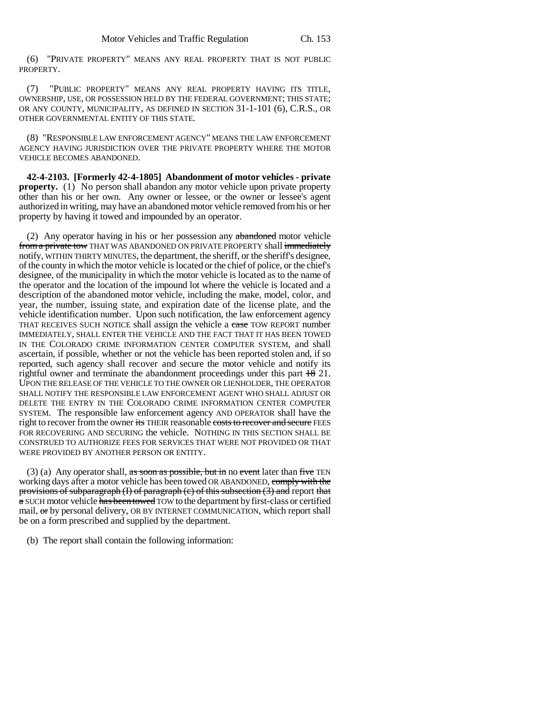(6) "PRIVATE PROPERTY" MEANS ANY REAL PROPERTY THAT IS NOT PUBLIC PROPERTY.

(7) "PUBLIC PROPERTY" MEANS ANY REAL PROPERTY HAVING ITS TITLE, OWNERSHIP, USE, OR POSSESSION HELD BY THE FEDERAL GOVERNMENT; THIS STATE; OR ANY COUNTY, MUNICIPALITY, AS DEFINED IN SECTION 31-1-101 (6), C.R.S., OR OTHER GOVERNMENTAL ENTITY OF THIS STATE.

(8) "RESPONSIBLE LAW ENFORCEMENT AGENCY" MEANS THE LAW ENFORCEMENT AGENCY HAVING JURISDICTION OVER THE PRIVATE PROPERTY WHERE THE MOTOR VEHICLE BECOMES ABANDONED.

**42-4-2103. [Formerly 42-4-1805] Abandonment of motor vehicles - private property.** (1) No person shall abandon any motor vehicle upon private property other than his or her own. Any owner or lessee, or the owner or lessee's agent authorized in writing, may have an abandoned motor vehicle removed from his or her property by having it towed and impounded by an operator.

(2) Any operator having in his or her possession any abandoned motor vehicle from a private tow THAT WAS ABANDONED ON PRIVATE PROPERTY shall immediately notify, WITHIN THIRTY MINUTES, the department, the sheriff, or the sheriff's designee, of the county in which the motor vehicle is located or the chief of police, or the chief's designee, of the municipality in which the motor vehicle is located as to the name of the operator and the location of the impound lot where the vehicle is located and a description of the abandoned motor vehicle, including the make, model, color, and year, the number, issuing state, and expiration date of the license plate, and the vehicle identification number. Upon such notification, the law enforcement agency THAT RECEIVES SUCH NOTICE shall assign the vehicle a case TOW REPORT number IMMEDIATELY, SHALL ENTER THE VEHICLE AND THE FACT THAT IT HAS BEEN TOWED IN THE COLORADO CRIME INFORMATION CENTER COMPUTER SYSTEM, and shall ascertain, if possible, whether or not the vehicle has been reported stolen and, if so reported, such agency shall recover and secure the motor vehicle and notify its rightful owner and terminate the abandonment proceedings under this part  $\frac{18}{18}$  21. UPON THE RELEASE OF THE VEHICLE TO THE OWNER OR LIENHOLDER, THE OPERATOR SHALL NOTIFY THE RESPONSIBLE LAW ENFORCEMENT AGENT WHO SHALL ADJUST OR DELETE THE ENTRY IN THE COLORADO CRIME INFORMATION CENTER COMPUTER SYSTEM. The responsible law enforcement agency AND OPERATOR shall have the right to recover from the owner its THEIR reasonable costs to recover and secure FEES FOR RECOVERING AND SECURING the vehicle. NOTHING IN THIS SECTION SHALL BE CONSTRUED TO AUTHORIZE FEES FOR SERVICES THAT WERE NOT PROVIDED OR THAT WERE PROVIDED BY ANOTHER PERSON OR ENTITY.

(3) (a) Any operator shall, as soon as possible, but in no event later than five TEN working days after a motor vehicle has been towed OR ABANDONED, comply with the provisions of subparagraph  $(I)$  of paragraph  $(c)$  of this subsection  $(3)$  and report that a SUCH motor vehicle has been towed TOW to the department by first-class or certified mail, or by personal delivery, OR BY INTERNET COMMUNICATION, which report shall be on a form prescribed and supplied by the department.

(b) The report shall contain the following information: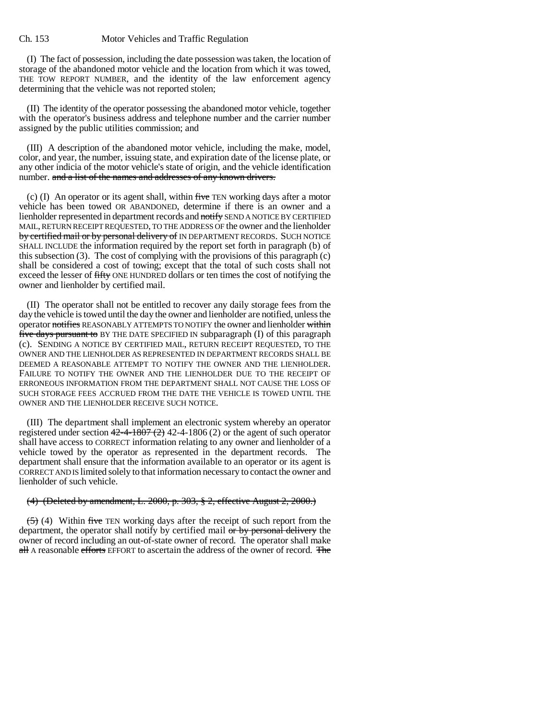(I) The fact of possession, including the date possession was taken, the location of storage of the abandoned motor vehicle and the location from which it was towed, THE TOW REPORT NUMBER, and the identity of the law enforcement agency determining that the vehicle was not reported stolen;

(II) The identity of the operator possessing the abandoned motor vehicle, together with the operator's business address and telephone number and the carrier number assigned by the public utilities commission; and

(III) A description of the abandoned motor vehicle, including the make, model, color, and year, the number, issuing state, and expiration date of the license plate, or any other indicia of the motor vehicle's state of origin, and the vehicle identification number. and a list of the names and addresses of any known drivers.

(c) (I) An operator or its agent shall, within  $f$ ive TEN working days after a motor vehicle has been towed OR ABANDONED, determine if there is an owner and a lienholder represented in department records and notify SEND A NOTICE BY CERTIFIED MAIL, RETURN RECEIPT REQUESTED, TO THE ADDRESS OF the owner and the lienholder by certified mail or by personal delivery of IN DEPARTMENT RECORDS. SUCH NOTICE SHALL INCLUDE the information required by the report set forth in paragraph (b) of this subsection (3). The cost of complying with the provisions of this paragraph (c) shall be considered a cost of towing; except that the total of such costs shall not exceed the lesser of fifty ONE HUNDRED dollars or ten times the cost of notifying the owner and lienholder by certified mail.

(II) The operator shall not be entitled to recover any daily storage fees from the day the vehicle is towed until the day the owner and lienholder are notified, unless the operator notifies REASONABLY ATTEMPTS TO NOTIFY the owner and lienholder within five days pursuant to BY THE DATE SPECIFIED IN subparagraph (I) of this paragraph (c). SENDING A NOTICE BY CERTIFIED MAIL, RETURN RECEIPT REQUESTED, TO THE OWNER AND THE LIENHOLDER AS REPRESENTED IN DEPARTMENT RECORDS SHALL BE DEEMED A REASONABLE ATTEMPT TO NOTIFY THE OWNER AND THE LIENHOLDER. FAILURE TO NOTIFY THE OWNER AND THE LIENHOLDER DUE TO THE RECEIPT OF ERRONEOUS INFORMATION FROM THE DEPARTMENT SHALL NOT CAUSE THE LOSS OF SUCH STORAGE FEES ACCRUED FROM THE DATE THE VEHICLE IS TOWED UNTIL THE OWNER AND THE LIENHOLDER RECEIVE SUCH NOTICE.

(III) The department shall implement an electronic system whereby an operator registered under section  $42-4-1807$  (2) 42-4-1806 (2) or the agent of such operator shall have access to CORRECT information relating to any owner and lienholder of a vehicle towed by the operator as represented in the department records. The department shall ensure that the information available to an operator or its agent is CORRECT AND IS limited solely to that information necessary to contact the owner and lienholder of such vehicle.

#### (4) (Deleted by amendment, L. 2000, p. 303, § 2, effective August 2, 2000.)

 $(5)$  (4) Within five TEN working days after the receipt of such report from the department, the operator shall notify by certified mail or by personal delivery the owner of record including an out-of-state owner of record. The operator shall make all A reasonable efforts EFFORT to ascertain the address of the owner of record. The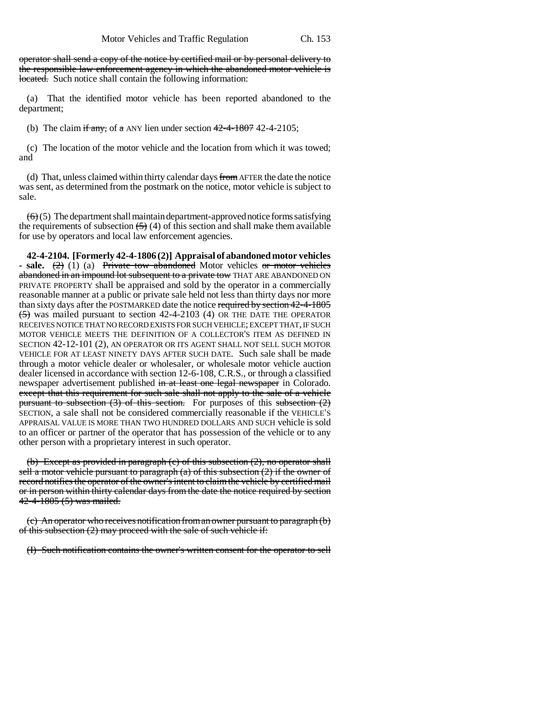operator shall send a copy of the notice by certified mail or by personal delivery to the responsible law enforcement agency in which the abandoned motor vehicle is located. Such notice shall contain the following information:

(a) That the identified motor vehicle has been reported abandoned to the department;

(b) The claim if any, of a ANY lien under section  $42-4-1807$  42-4-2105;

(c) The location of the motor vehicle and the location from which it was towed; and

(d) That, unless claimed within thirty calendar days from AFTER the date the notice was sent, as determined from the postmark on the notice, motor vehicle is subject to sale.

 $\left(\frac{1}{6}\right)$  (5) The department shall maintain department-approved notice forms satisfying the requirements of subsection  $(5)(4)$  of this section and shall make them available for use by operators and local law enforcement agencies.

**42-4-2104. [Formerly 42-4-1806 (2)] Appraisal of abandoned motor vehicles - sale.** (2) (1) (a) Private tow abandoned Motor vehicles or motor vehicles abandoned in an impound lot subsequent to a private tow THAT ARE ABANDONED ON PRIVATE PROPERTY shall be appraised and sold by the operator in a commercially reasonable manner at a public or private sale held not less than thirty days nor more than sixty days after the POSTMARKED date the notice required by section 42-4-1805 (5) was mailed pursuant to section 42-4-2103 (4) OR THE DATE THE OPERATOR RECEIVES NOTICE THAT NO RECORD EXISTS FOR SUCH VEHICLE; EXCEPT THAT, IF SUCH MOTOR VEHICLE MEETS THE DEFINITION OF A COLLECTOR'S ITEM AS DEFINED IN SECTION 42-12-101 (2), AN OPERATOR OR ITS AGENT SHALL NOT SELL SUCH MOTOR VEHICLE FOR AT LEAST NINETY DAYS AFTER SUCH DATE. Such sale shall be made through a motor vehicle dealer or wholesaler, or wholesale motor vehicle auction dealer licensed in accordance with section 12-6-108, C.R.S., or through a classified newspaper advertisement published in at least one legal newspaper in Colorado. except that this requirement for such sale shall not apply to the sale of a vehicle pursuant to subsection  $(3)$  of this section. For purposes of this subsection  $(2)$ SECTION, a sale shall not be considered commercially reasonable if the VEHICLE'S APPRAISAL VALUE IS MORE THAN TWO HUNDRED DOLLARS AND SUCH vehicle is sold to an officer or partner of the operator that has possession of the vehicle or to any other person with a proprietary interest in such operator.

(b) Except as provided in paragraph (c) of this subsection (2), no operator shall sell a motor vehicle pursuant to paragraph  $(a)$  of this subsection  $(2)$  if the owner of record notifies the operator of the owner's intent to claim the vehicle by certified mail or in person within thirty calendar days from the date the notice required by section 42-4-1805 (5) was mailed.

(c) An operator who receives notification from an owner pursuant to paragraph (b) of this subsection (2) may proceed with the sale of such vehicle if:

(I) Such notification contains the owner's written consent for the operator to sell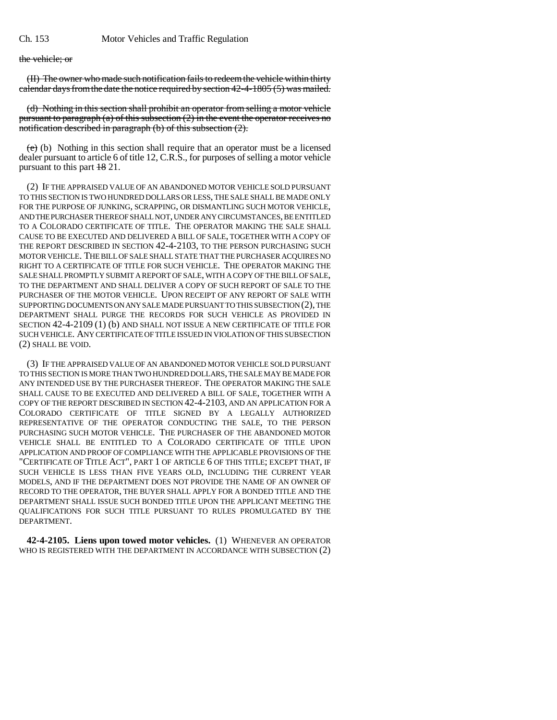the vehicle; or

(II) The owner who made such notification fails to redeem the vehicle within thirty calendar days from the date the notice required by section 42-4-1805 (5) was mailed.

(d) Nothing in this section shall prohibit an operator from selling a motor vehicle pursuant to paragraph (a) of this subsection  $(2)$  in the event the operator receives no notification described in paragraph (b) of this subsection (2).

(e) (b) Nothing in this section shall require that an operator must be a licensed dealer pursuant to article 6 of title 12, C.R.S., for purposes of selling a motor vehicle pursuant to this part 18 21.

(2) IF THE APPRAISED VALUE OF AN ABANDONED MOTOR VEHICLE SOLD PURSUANT TO THIS SECTION IS TWO HUNDRED DOLLARS OR LESS, THE SALE SHALL BE MADE ONLY FOR THE PURPOSE OF JUNKING, SCRAPPING, OR DISMANTLING SUCH MOTOR VEHICLE, AND THE PURCHASER THEREOF SHALL NOT, UNDER ANY CIRCUMSTANCES, BE ENTITLED TO A COLORADO CERTIFICATE OF TITLE. THE OPERATOR MAKING THE SALE SHALL CAUSE TO BE EXECUTED AND DELIVERED A BILL OF SALE, TOGETHER WITH A COPY OF THE REPORT DESCRIBED IN SECTION 42-4-2103, TO THE PERSON PURCHASING SUCH MOTOR VEHICLE. THE BILL OF SALE SHALL STATE THAT THE PURCHASER ACQUIRES NO RIGHT TO A CERTIFICATE OF TITLE FOR SUCH VEHICLE. THE OPERATOR MAKING THE SALE SHALL PROMPTLY SUBMIT A REPORT OF SALE, WITH A COPY OF THE BILL OF SALE, TO THE DEPARTMENT AND SHALL DELIVER A COPY OF SUCH REPORT OF SALE TO THE PURCHASER OF THE MOTOR VEHICLE. UPON RECEIPT OF ANY REPORT OF SALE WITH SUPPORTING DOCUMENTS ON ANY SALE MADE PURSUANT TO THIS SUBSECTION (2), THE DEPARTMENT SHALL PURGE THE RECORDS FOR SUCH VEHICLE AS PROVIDED IN SECTION 42-4-2109 (1) (b) AND SHALL NOT ISSUE A NEW CERTIFICATE OF TITLE FOR SUCH VEHICLE. ANY CERTIFICATE OF TITLE ISSUED IN VIOLATION OF THIS SUBSECTION (2) SHALL BE VOID.

(3) IF THE APPRAISED VALUE OF AN ABANDONED MOTOR VEHICLE SOLD PURSUANT TO THIS SECTION IS MORE THAN TWO HUNDRED DOLLARS, THE SALE MAY BE MADE FOR ANY INTENDED USE BY THE PURCHASER THEREOF. THE OPERATOR MAKING THE SALE SHALL CAUSE TO BE EXECUTED AND DELIVERED A BILL OF SALE, TOGETHER WITH A COPY OF THE REPORT DESCRIBED IN SECTION 42-4-2103, AND AN APPLICATION FOR A COLORADO CERTIFICATE OF TITLE SIGNED BY A LEGALLY AUTHORIZED REPRESENTATIVE OF THE OPERATOR CONDUCTING THE SALE, TO THE PERSON PURCHASING SUCH MOTOR VEHICLE. THE PURCHASER OF THE ABANDONED MOTOR VEHICLE SHALL BE ENTITLED TO A COLORADO CERTIFICATE OF TITLE UPON APPLICATION AND PROOF OF COMPLIANCE WITH THE APPLICABLE PROVISIONS OF THE "CERTIFICATE OF TITLE ACT", PART 1 OF ARTICLE 6 OF THIS TITLE; EXCEPT THAT, IF SUCH VEHICLE IS LESS THAN FIVE YEARS OLD, INCLUDING THE CURRENT YEAR MODELS, AND IF THE DEPARTMENT DOES NOT PROVIDE THE NAME OF AN OWNER OF RECORD TO THE OPERATOR, THE BUYER SHALL APPLY FOR A BONDED TITLE AND THE DEPARTMENT SHALL ISSUE SUCH BONDED TITLE UPON THE APPLICANT MEETING THE QUALIFICATIONS FOR SUCH TITLE PURSUANT TO RULES PROMULGATED BY THE DEPARTMENT.

**42-4-2105. Liens upon towed motor vehicles.** (1) WHENEVER AN OPERATOR WHO IS REGISTERED WITH THE DEPARTMENT IN ACCORDANCE WITH SUBSECTION (2)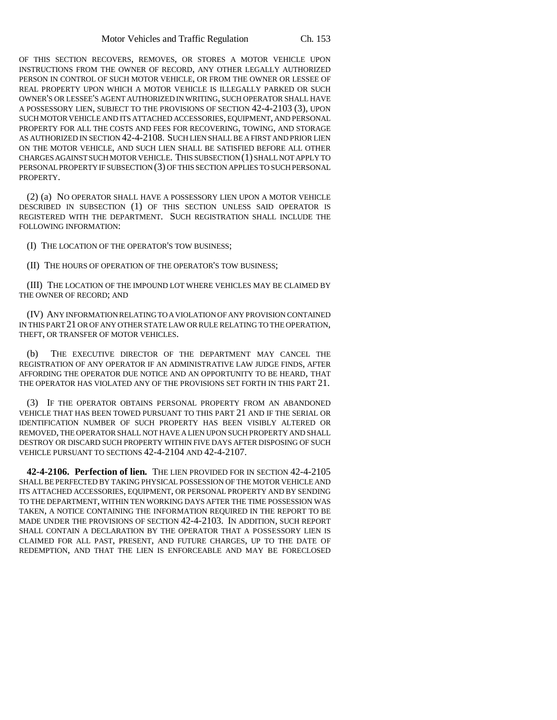OF THIS SECTION RECOVERS, REMOVES, OR STORES A MOTOR VEHICLE UPON INSTRUCTIONS FROM THE OWNER OF RECORD, ANY OTHER LEGALLY AUTHORIZED PERSON IN CONTROL OF SUCH MOTOR VEHICLE, OR FROM THE OWNER OR LESSEE OF REAL PROPERTY UPON WHICH A MOTOR VEHICLE IS ILLEGALLY PARKED OR SUCH OWNER'S OR LESSEE'S AGENT AUTHORIZED IN WRITING, SUCH OPERATOR SHALL HAVE A POSSESSORY LIEN, SUBJECT TO THE PROVISIONS OF SECTION 42-4-2103 (3), UPON SUCH MOTOR VEHICLE AND ITS ATTACHED ACCESSORIES, EQUIPMENT, AND PERSONAL PROPERTY FOR ALL THE COSTS AND FEES FOR RECOVERING, TOWING, AND STORAGE AS AUTHORIZED IN SECTION 42-4-2108. SUCH LIEN SHALL BE A FIRST AND PRIOR LIEN ON THE MOTOR VEHICLE, AND SUCH LIEN SHALL BE SATISFIED BEFORE ALL OTHER CHARGES AGAINST SUCH MOTOR VEHICLE. THIS SUBSECTION (1) SHALL NOT APPLY TO PERSONAL PROPERTY IF SUBSECTION (3) OF THIS SECTION APPLIES TO SUCH PERSONAL PROPERTY.

(2) (a) NO OPERATOR SHALL HAVE A POSSESSORY LIEN UPON A MOTOR VEHICLE DESCRIBED IN SUBSECTION (1) OF THIS SECTION UNLESS SAID OPERATOR IS REGISTERED WITH THE DEPARTMENT. SUCH REGISTRATION SHALL INCLUDE THE FOLLOWING INFORMATION:

(I) THE LOCATION OF THE OPERATOR'S TOW BUSINESS;

(II) THE HOURS OF OPERATION OF THE OPERATOR'S TOW BUSINESS;

(III) THE LOCATION OF THE IMPOUND LOT WHERE VEHICLES MAY BE CLAIMED BY THE OWNER OF RECORD; AND

(IV) ANY INFORMATION RELATING TO A VIOLATION OF ANY PROVISION CONTAINED IN THIS PART 21 OR OF ANY OTHER STATE LAW OR RULE RELATING TO THE OPERATION, THEFT, OR TRANSFER OF MOTOR VEHICLES.

(b) THE EXECUTIVE DIRECTOR OF THE DEPARTMENT MAY CANCEL THE REGISTRATION OF ANY OPERATOR IF AN ADMINISTRATIVE LAW JUDGE FINDS, AFTER AFFORDING THE OPERATOR DUE NOTICE AND AN OPPORTUNITY TO BE HEARD, THAT THE OPERATOR HAS VIOLATED ANY OF THE PROVISIONS SET FORTH IN THIS PART 21.

(3) IF THE OPERATOR OBTAINS PERSONAL PROPERTY FROM AN ABANDONED VEHICLE THAT HAS BEEN TOWED PURSUANT TO THIS PART 21 AND IF THE SERIAL OR IDENTIFICATION NUMBER OF SUCH PROPERTY HAS BEEN VISIBLY ALTERED OR REMOVED, THE OPERATOR SHALL NOT HAVE A LIEN UPON SUCH PROPERTY AND SHALL DESTROY OR DISCARD SUCH PROPERTY WITHIN FIVE DAYS AFTER DISPOSING OF SUCH VEHICLE PURSUANT TO SECTIONS 42-4-2104 AND 42-4-2107.

**42-4-2106. Perfection of lien.** THE LIEN PROVIDED FOR IN SECTION 42-4-2105 SHALL BE PERFECTED BY TAKING PHYSICAL POSSESSION OF THE MOTOR VEHICLE AND ITS ATTACHED ACCESSORIES, EQUIPMENT, OR PERSONAL PROPERTY AND BY SENDING TO THE DEPARTMENT, WITHIN TEN WORKING DAYS AFTER THE TIME POSSESSION WAS TAKEN, A NOTICE CONTAINING THE INFORMATION REQUIRED IN THE REPORT TO BE MADE UNDER THE PROVISIONS OF SECTION 42-4-2103. IN ADDITION, SUCH REPORT SHALL CONTAIN A DECLARATION BY THE OPERATOR THAT A POSSESSORY LIEN IS CLAIMED FOR ALL PAST, PRESENT, AND FUTURE CHARGES, UP TO THE DATE OF REDEMPTION, AND THAT THE LIEN IS ENFORCEABLE AND MAY BE FORECLOSED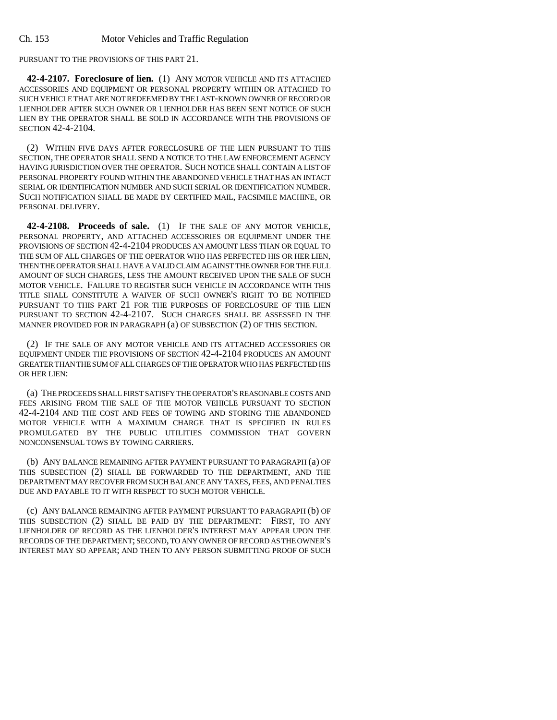PURSUANT TO THE PROVISIONS OF THIS PART 21.

**42-4-2107. Foreclosure of lien.** (1) ANY MOTOR VEHICLE AND ITS ATTACHED ACCESSORIES AND EQUIPMENT OR PERSONAL PROPERTY WITHIN OR ATTACHED TO SUCH VEHICLE THAT ARE NOT REDEEMED BY THE LAST-KNOWN OWNER OF RECORD OR LIENHOLDER AFTER SUCH OWNER OR LIENHOLDER HAS BEEN SENT NOTICE OF SUCH LIEN BY THE OPERATOR SHALL BE SOLD IN ACCORDANCE WITH THE PROVISIONS OF SECTION 42-4-2104.

(2) WITHIN FIVE DAYS AFTER FORECLOSURE OF THE LIEN PURSUANT TO THIS SECTION, THE OPERATOR SHALL SEND A NOTICE TO THE LAW ENFORCEMENT AGENCY HAVING JURISDICTION OVER THE OPERATOR. SUCH NOTICE SHALL CONTAIN A LIST OF PERSONAL PROPERTY FOUND WITHIN THE ABANDONED VEHICLE THAT HAS AN INTACT SERIAL OR IDENTIFICATION NUMBER AND SUCH SERIAL OR IDENTIFICATION NUMBER. SUCH NOTIFICATION SHALL BE MADE BY CERTIFIED MAIL, FACSIMILE MACHINE, OR PERSONAL DELIVERY.

**42-4-2108. Proceeds of sale.** (1) IF THE SALE OF ANY MOTOR VEHICLE, PERSONAL PROPERTY, AND ATTACHED ACCESSORIES OR EQUIPMENT UNDER THE PROVISIONS OF SECTION 42-4-2104 PRODUCES AN AMOUNT LESS THAN OR EQUAL TO THE SUM OF ALL CHARGES OF THE OPERATOR WHO HAS PERFECTED HIS OR HER LIEN, THEN THE OPERATOR SHALL HAVE A VALID CLAIM AGAINST THE OWNER FOR THE FULL AMOUNT OF SUCH CHARGES, LESS THE AMOUNT RECEIVED UPON THE SALE OF SUCH MOTOR VEHICLE. FAILURE TO REGISTER SUCH VEHICLE IN ACCORDANCE WITH THIS TITLE SHALL CONSTITUTE A WAIVER OF SUCH OWNER'S RIGHT TO BE NOTIFIED PURSUANT TO THIS PART 21 FOR THE PURPOSES OF FORECLOSURE OF THE LIEN PURSUANT TO SECTION 42-4-2107. SUCH CHARGES SHALL BE ASSESSED IN THE MANNER PROVIDED FOR IN PARAGRAPH (a) OF SUBSECTION (2) OF THIS SECTION.

(2) IF THE SALE OF ANY MOTOR VEHICLE AND ITS ATTACHED ACCESSORIES OR EQUIPMENT UNDER THE PROVISIONS OF SECTION 42-4-2104 PRODUCES AN AMOUNT GREATER THAN THE SUM OF ALL CHARGES OF THE OPERATOR WHO HAS PERFECTED HIS OR HER LIEN:

(a) THE PROCEEDS SHALL FIRST SATISFY THE OPERATOR'S REASONABLE COSTS AND FEES ARISING FROM THE SALE OF THE MOTOR VEHICLE PURSUANT TO SECTION 42-4-2104 AND THE COST AND FEES OF TOWING AND STORING THE ABANDONED MOTOR VEHICLE WITH A MAXIMUM CHARGE THAT IS SPECIFIED IN RULES PROMULGATED BY THE PUBLIC UTILITIES COMMISSION THAT GOVERN NONCONSENSUAL TOWS BY TOWING CARRIERS.

(b) ANY BALANCE REMAINING AFTER PAYMENT PURSUANT TO PARAGRAPH (a) OF THIS SUBSECTION (2) SHALL BE FORWARDED TO THE DEPARTMENT, AND THE DEPARTMENT MAY RECOVER FROM SUCH BALANCE ANY TAXES, FEES, AND PENALTIES DUE AND PAYABLE TO IT WITH RESPECT TO SUCH MOTOR VEHICLE.

(c) ANY BALANCE REMAINING AFTER PAYMENT PURSUANT TO PARAGRAPH (b) OF THIS SUBSECTION (2) SHALL BE PAID BY THE DEPARTMENT: FIRST, TO ANY LIENHOLDER OF RECORD AS THE LIENHOLDER'S INTEREST MAY APPEAR UPON THE RECORDS OF THE DEPARTMENT; SECOND, TO ANY OWNER OF RECORD AS THE OWNER'S INTEREST MAY SO APPEAR; AND THEN TO ANY PERSON SUBMITTING PROOF OF SUCH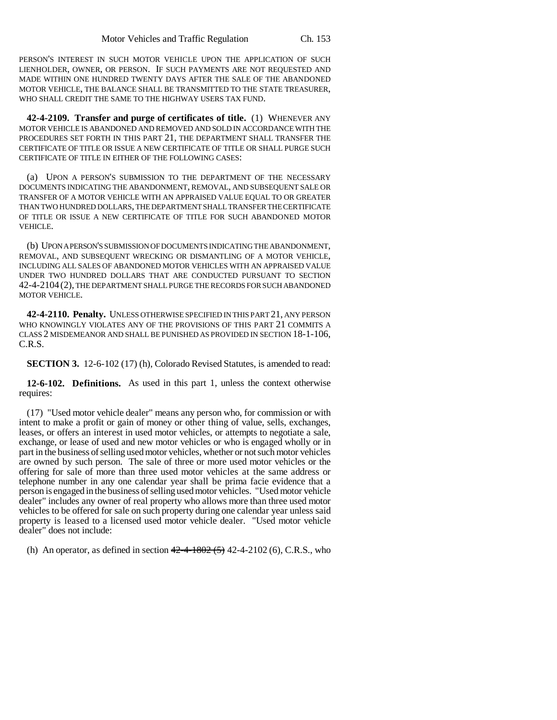PERSON'S INTEREST IN SUCH MOTOR VEHICLE UPON THE APPLICATION OF SUCH LIENHOLDER, OWNER, OR PERSON. IF SUCH PAYMENTS ARE NOT REQUESTED AND MADE WITHIN ONE HUNDRED TWENTY DAYS AFTER THE SALE OF THE ABANDONED MOTOR VEHICLE, THE BALANCE SHALL BE TRANSMITTED TO THE STATE TREASURER, WHO SHALL CREDIT THE SAME TO THE HIGHWAY USERS TAX FUND.

**42-4-2109. Transfer and purge of certificates of title.** (1) WHENEVER ANY MOTOR VEHICLE IS ABANDONED AND REMOVED AND SOLD IN ACCORDANCE WITH THE PROCEDURES SET FORTH IN THIS PART 21, THE DEPARTMENT SHALL TRANSFER THE CERTIFICATE OF TITLE OR ISSUE A NEW CERTIFICATE OF TITLE OR SHALL PURGE SUCH CERTIFICATE OF TITLE IN EITHER OF THE FOLLOWING CASES:

(a) UPON A PERSON'S SUBMISSION TO THE DEPARTMENT OF THE NECESSARY DOCUMENTS INDICATING THE ABANDONMENT, REMOVAL, AND SUBSEQUENT SALE OR TRANSFER OF A MOTOR VEHICLE WITH AN APPRAISED VALUE EQUAL TO OR GREATER THAN TWO HUNDRED DOLLARS, THE DEPARTMENT SHALL TRANSFER THE CERTIFICATE OF TITLE OR ISSUE A NEW CERTIFICATE OF TITLE FOR SUCH ABANDONED MOTOR VEHICLE.

(b) UPON A PERSON'S SUBMISSION OF DOCUMENTS INDICATING THE ABANDONMENT, REMOVAL, AND SUBSEQUENT WRECKING OR DISMANTLING OF A MOTOR VEHICLE, INCLUDING ALL SALES OF ABANDONED MOTOR VEHICLES WITH AN APPRAISED VALUE UNDER TWO HUNDRED DOLLARS THAT ARE CONDUCTED PURSUANT TO SECTION 42-4-2104 (2), THE DEPARTMENT SHALL PURGE THE RECORDS FOR SUCH ABANDONED MOTOR VEHICLE.

**42-4-2110. Penalty.** UNLESS OTHERWISE SPECIFIED IN THIS PART 21, ANY PERSON WHO KNOWINGLY VIOLATES ANY OF THE PROVISIONS OF THIS PART 21 COMMITS A CLASS 2 MISDEMEANOR AND SHALL BE PUNISHED AS PROVIDED IN SECTION 18-1-106, C.R.S.

**SECTION 3.** 12-6-102 (17) (h), Colorado Revised Statutes, is amended to read:

**12-6-102. Definitions.** As used in this part 1, unless the context otherwise requires:

(17) "Used motor vehicle dealer" means any person who, for commission or with intent to make a profit or gain of money or other thing of value, sells, exchanges, leases, or offers an interest in used motor vehicles, or attempts to negotiate a sale, exchange, or lease of used and new motor vehicles or who is engaged wholly or in part in the business of selling used motor vehicles, whether or not such motor vehicles are owned by such person. The sale of three or more used motor vehicles or the offering for sale of more than three used motor vehicles at the same address or telephone number in any one calendar year shall be prima facie evidence that a person is engaged in the business of selling used motor vehicles. "Used motor vehicle dealer" includes any owner of real property who allows more than three used motor vehicles to be offered for sale on such property during one calendar year unless said property is leased to a licensed used motor vehicle dealer. "Used motor vehicle dealer" does not include:

(h) An operator, as defined in section  $42-4-1802(5)$  42-4-2102 (6), C.R.S., who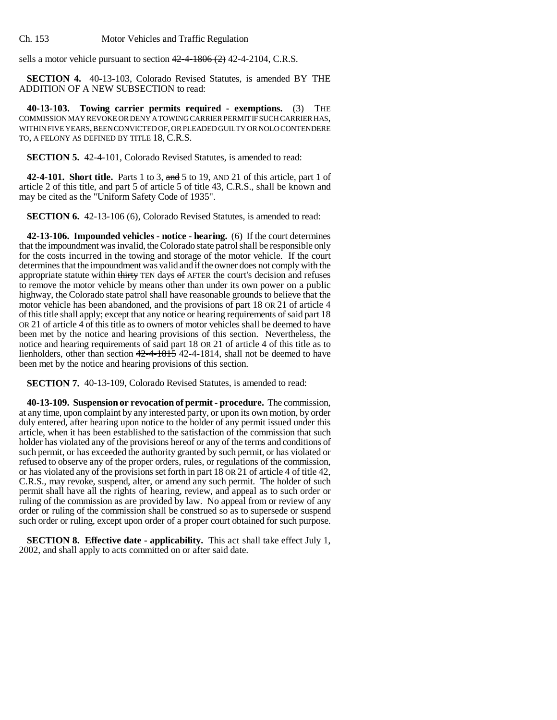Ch. 153 Motor Vehicles and Traffic Regulation

sells a motor vehicle pursuant to section  $42-4-1806$  (2) 42-4-2104, C.R.S.

**SECTION 4.** 40-13-103, Colorado Revised Statutes, is amended BY THE ADDITION OF A NEW SUBSECTION to read:

**40-13-103. Towing carrier permits required - exemptions.** (3) THE COMMISSION MAY REVOKE OR DENY A TOWING CARRIER PERMIT IF SUCH CARRIER HAS, WITHIN FIVE YEARS, BEEN CONVICTED OF, OR PLEADED GUILTY OR NOLO CONTENDERE TO, A FELONY AS DEFINED BY TITLE 18, C.R.S.

#### **SECTION 5.** 42-4-101, Colorado Revised Statutes, is amended to read:

**42-4-101. Short title.** Parts 1 to 3, and 5 to 19, AND 21 of this article, part 1 of article 2 of this title, and part 5 of article 5 of title 43, C.R.S., shall be known and may be cited as the "Uniform Safety Code of 1935".

**SECTION 6.** 42-13-106 (6), Colorado Revised Statutes, is amended to read:

**42-13-106. Impounded vehicles - notice - hearing.** (6) If the court determines that the impoundment was invalid, the Colorado state patrol shall be responsible only for the costs incurred in the towing and storage of the motor vehicle. If the court determines that the impoundment was valid and if the owner does not comply with the appropriate statute within thirty TEN days of AFTER the court's decision and refuses to remove the motor vehicle by means other than under its own power on a public highway, the Colorado state patrol shall have reasonable grounds to believe that the motor vehicle has been abandoned, and the provisions of part 18 OR 21 of article 4 of this title shall apply; except that any notice or hearing requirements of said part 18 OR 21 of article 4 of this title as to owners of motor vehicles shall be deemed to have been met by the notice and hearing provisions of this section. Nevertheless, the notice and hearing requirements of said part 18 OR 21 of article 4 of this title as to lienholders, other than section 42-4-1815 42-4-1814, shall not be deemed to have been met by the notice and hearing provisions of this section.

**SECTION 7.** 40-13-109, Colorado Revised Statutes, is amended to read:

**40-13-109. Suspension or revocation of permit - procedure.** The commission, at any time, upon complaint by any interested party, or upon its own motion, by order duly entered, after hearing upon notice to the holder of any permit issued under this article, when it has been established to the satisfaction of the commission that such holder has violated any of the provisions hereof or any of the terms and conditions of such permit, or has exceeded the authority granted by such permit, or has violated or refused to observe any of the proper orders, rules, or regulations of the commission, or has violated any of the provisions set forth in part 18 OR 21 of article 4 of title 42, C.R.S., may revoke, suspend, alter, or amend any such permit. The holder of such permit shall have all the rights of hearing, review, and appeal as to such order or ruling of the commission as are provided by law. No appeal from or review of any order or ruling of the commission shall be construed so as to supersede or suspend such order or ruling, except upon order of a proper court obtained for such purpose.

**SECTION 8. Effective date - applicability.** This act shall take effect July 1, 2002, and shall apply to acts committed on or after said date.